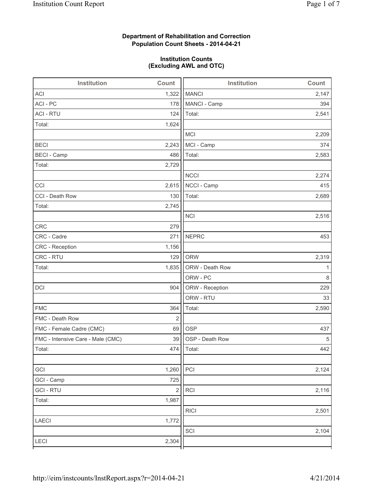### **Department of Rehabilitation and Correction Population Count Sheets - 2014-04-21**

#### **Institution Counts (Excluding AWL and OTC)**

| Institution                       | Count                   | Institution     | Count |
|-----------------------------------|-------------------------|-----------------|-------|
| <b>ACI</b>                        | 1,322                   | <b>MANCI</b>    | 2,147 |
| ACI - PC                          | 178                     | MANCI - Camp    | 394   |
| <b>ACI - RTU</b>                  | 124                     | Total:          | 2,541 |
| Total:                            | 1,624                   |                 |       |
|                                   |                         | <b>MCI</b>      | 2,209 |
| <b>BECI</b>                       | 2,243                   | MCI - Camp      | 374   |
| <b>BECI</b> - Camp                | 486                     | Total:          | 2,583 |
| Total:                            | 2,729                   |                 |       |
|                                   |                         | <b>NCCI</b>     | 2,274 |
| CCI                               | 2,615                   | NCCI - Camp     | 415   |
| CCI - Death Row                   | 130                     | Total:          | 2,689 |
| Total:                            | 2,745                   |                 |       |
|                                   |                         | <b>NCI</b>      | 2,516 |
| <b>CRC</b>                        | 279                     |                 |       |
| CRC - Cadre                       | 271                     | <b>NEPRC</b>    | 453   |
| CRC - Reception                   | 1,156                   |                 |       |
| CRC - RTU                         | 129                     | <b>ORW</b>      | 2,319 |
| Total:                            | 1,835                   | ORW - Death Row | 1     |
|                                   |                         | ORW - PC        | 8     |
| DCI                               | 904                     | ORW - Reception | 229   |
|                                   |                         | ORW - RTU       | 33    |
| <b>FMC</b>                        | 364                     | Total:          | 2,590 |
| FMC - Death Row                   | $\overline{2}$          |                 |       |
| FMC - Female Cadre (CMC)          | 69                      | <b>OSP</b>      | 437   |
| FMC - Intensive Care - Male (CMC) | 39                      | OSP - Death Row | 5     |
| Total:                            |                         | 474 Total:      | 442   |
|                                   |                         |                 |       |
| GCI                               | 1,260                   | PCI             | 2,124 |
| GCI - Camp                        | 725                     |                 |       |
| <b>GCI-RTU</b>                    | $\overline{\mathbf{c}}$ | RCI             | 2,116 |
| Total:                            | 1,987                   |                 |       |
|                                   |                         | <b>RICI</b>     | 2,501 |
| LAECI                             | 1,772                   |                 |       |
|                                   |                         | SCI             | 2,104 |
| LECI                              | 2,304                   |                 |       |
|                                   |                         |                 |       |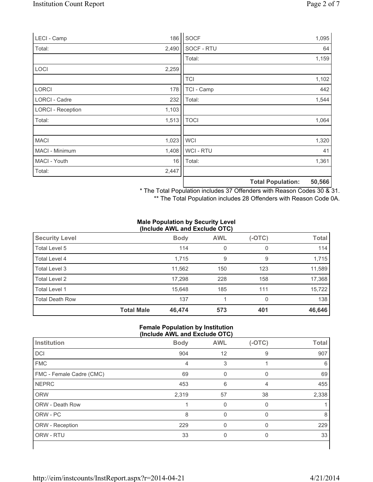| LECI - Camp              | 186   | SOCF        |                          | 1,095  |
|--------------------------|-------|-------------|--------------------------|--------|
| Total:                   | 2,490 | SOCF - RTU  |                          | 64     |
|                          |       | Total:      |                          | 1,159  |
| LOCI                     | 2,259 |             |                          |        |
|                          |       | <b>TCI</b>  |                          | 1,102  |
| <b>LORCI</b>             | 178   | TCI - Camp  |                          | 442    |
| LORCI - Cadre            | 232   | Total:      |                          | 1,544  |
| <b>LORCI - Reception</b> | 1,103 |             |                          |        |
| Total:                   | 1,513 | <b>TOCI</b> |                          | 1,064  |
|                          |       |             |                          |        |
| <b>MACI</b>              | 1,023 | <b>WCI</b>  |                          | 1,320  |
| MACI - Minimum           | 1,408 | WCI - RTU   |                          | 41     |
| MACI - Youth             | 16    | Total:      |                          | 1,361  |
| Total:                   | 2,447 |             |                          |        |
|                          |       |             | <b>Total Population:</b> | 50,566 |

\* The Total Population includes 37 Offenders with Reason Codes 30 & 31.

\*\* The Total Population includes 28 Offenders with Reason Code 0A.

#### **Male Population by Security Level (Include AWL and Exclude OTC)**

| <b>Security Level</b>  |                   | <b>Body</b> | <b>AWL</b> | $(-OTC)$ | <b>Total</b> |
|------------------------|-------------------|-------------|------------|----------|--------------|
| Total Level 5          |                   | 114         | 0          | 0        | 114          |
| Total Level 4          |                   | 1,715       | 9          | 9        | 1,715        |
| Total Level 3          |                   | 11,562      | 150        | 123      | 11,589       |
| Total Level 2          |                   | 17,298      | 228        | 158      | 17,368       |
| Total Level 1          |                   | 15,648      | 185        | 111      | 15,722       |
| <b>Total Death Row</b> |                   | 137         |            | $\Omega$ | 138          |
|                        | <b>Total Male</b> | 46,474      | 573        | 401      | 46,646       |

#### **Female Population by Institution (Include AWL and Exclude OTC)**

| Institution              | <b>Body</b> | <b>AWL</b> | $(-OTC)$ | <b>Total</b> |
|--------------------------|-------------|------------|----------|--------------|
| DCI                      | 904         | 12         | 9        | 907          |
| <b>FMC</b>               | 4           | 3          |          | 6            |
| FMC - Female Cadre (CMC) | 69          |            |          | 69           |
| <b>NEPRC</b>             | 453         | 6          | 4        | 455          |
| <b>ORW</b>               | 2,319       | 57         | 38       | 2,338        |
| <b>ORW - Death Row</b>   |             |            | $\Omega$ |              |
| ORW - PC                 | 8           | $\Omega$   | $\Omega$ | 8            |
| ORW - Reception          | 229         | 0          | $\Omega$ | 229          |
| ORW - RTU                | 33          | 0          | 0        | 33           |
|                          |             |            |          |              |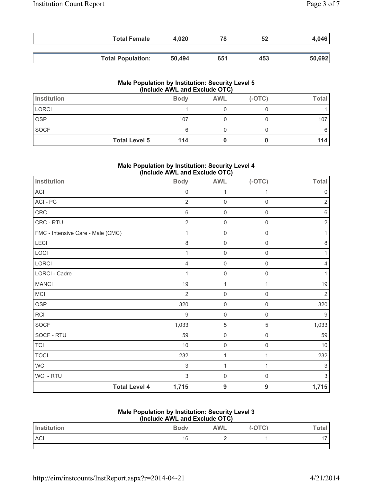| <b>Total Female</b>      | 4.020  | 78  | 52  | 4,046  |
|--------------------------|--------|-----|-----|--------|
|                          |        |     |     |        |
| <b>Total Population:</b> | 50,494 | 651 | 453 | 50,692 |

#### **Male Population by Institution: Security Level 5 (Include AWL and Exclude OTC)**

| Institution  |                      | <b>Body</b> | <b>AWL</b> | $(-OTC)$ | Total |
|--------------|----------------------|-------------|------------|----------|-------|
| <b>LORCI</b> |                      |             |            |          |       |
| <b>OSP</b>   |                      | 107         |            |          | 107   |
| SOCF         |                      | 6           |            |          |       |
|              | <b>Total Level 5</b> | 114         |            |          | 114   |

#### **Male Population by Institution: Security Level 4 (Include AWL and Exclude OTC)**

| <b>Institution</b>                | <b>Body</b>         | <b>AWL</b>          | $(-OTC)$    | <b>Total</b>   |
|-----------------------------------|---------------------|---------------------|-------------|----------------|
| ACI                               | $\mathsf{O}\xspace$ | 1                   | 1           | 0              |
| ACI-PC                            | $\overline{2}$      | $\mathbf 0$         | $\mathbf 0$ | 2              |
| CRC                               | 6                   | $\mathsf 0$         | $\mathbf 0$ | 6              |
| CRC - RTU                         | $\overline{2}$      | $\mathsf 0$         | $\mathbf 0$ | $\overline{2}$ |
| FMC - Intensive Care - Male (CMC) | 1                   | $\mathbf 0$         | $\mathsf 0$ | 1              |
| LECI                              | 8                   | $\mathsf{O}\xspace$ | 0           | 8              |
| LOCI                              | 1                   | $\mathsf 0$         | $\mathbf 0$ |                |
| LORCI                             | 4                   | $\mathsf{O}\xspace$ | $\mathbf 0$ | 4              |
| <b>LORCI - Cadre</b>              | 1                   | $\mathsf{O}\xspace$ | $\mathsf 0$ | 1              |
| <b>MANCI</b>                      | 19                  | 1                   | 1           | 19             |
| MCI                               | $\overline{2}$      | $\mathsf 0$         | $\mathbf 0$ | $\overline{2}$ |
| <b>OSP</b>                        | 320                 | $\mathsf 0$         | $\mathbf 0$ | 320            |
| <b>RCI</b>                        | 9                   | $\mathsf 0$         | $\mathbf 0$ | $9\,$          |
| SOCF                              | 1,033               | 5                   | $\,$ 5 $\,$ | 1,033          |
| SOCF - RTU                        | 59                  | $\mathsf{O}\xspace$ | $\mathsf 0$ | 59             |
| <b>TCI</b>                        | 10                  | $\mathsf{O}\xspace$ | $\mathbf 0$ | 10             |
| <b>TOCI</b>                       | 232                 | $\mathbf 1$         | 1           | 232            |
| WCI                               | 3                   | 1                   | 1           | 3              |
| WCI - RTU                         | 3                   | $\mathsf{O}\xspace$ | $\mathbf 0$ | 3              |
| <b>Total Level 4</b>              | 1,715               | $\boldsymbol{9}$    | 9           | 1,715          |

## **Male Population by Institution: Security Level 3**

| (Include AWL and Exclude OTC) |             |            |          |       |
|-------------------------------|-------------|------------|----------|-------|
| <b>Institution</b>            | <b>Body</b> | <b>AWL</b> | $(-OTC)$ | ™otal |
| <b>ACI</b>                    | 16          |            |          |       |
|                               |             |            |          |       |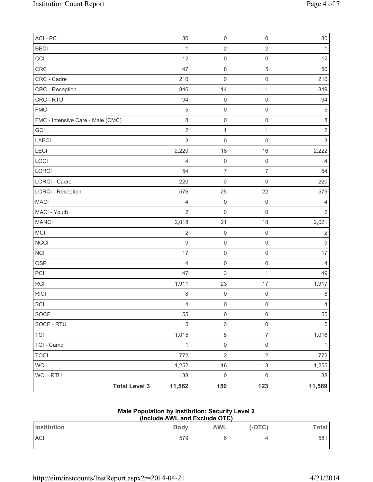| ACI - PC                          | 80             | $\mathbf 0$         | 0                   | 80             |
|-----------------------------------|----------------|---------------------|---------------------|----------------|
| <b>BECI</b>                       | $\mathbf{1}$   | $\overline{2}$      | $\overline{2}$      | $\mathbf{1}$   |
| CCI                               | 12             | $\mathsf 0$         | $\mathsf{O}\xspace$ | 12             |
| CRC                               | 47             | $\,8\,$             | $\overline{5}$      | 50             |
| CRC - Cadre                       | 210            | $\mathsf 0$         | $\mathsf{O}\xspace$ | 210            |
| CRC - Reception                   | 846            | 14                  | 11                  | 849            |
| CRC - RTU                         | 94             | $\mathsf 0$         | $\mathsf 0$         | 94             |
| <b>FMC</b>                        | $\sqrt{5}$     | $\mathsf 0$         | $\mathsf{O}\xspace$ | $\sqrt{5}$     |
| FMC - Intensive Care - Male (CMC) | 8              | $\mathsf 0$         | $\mathsf 0$         | $\,8\,$        |
| GCI                               | $\overline{2}$ | $\mathbf 1$         | $\mathbf{1}$        | $\overline{2}$ |
| <b>LAECI</b>                      | $\mathfrak{S}$ | $\mathsf 0$         | $\mathsf 0$         | 3              |
| LECI                              | 2,220          | 18                  | 16                  | 2,222          |
| LOCI                              | $\overline{4}$ | $\mathsf{O}\xspace$ | $\mathsf 0$         | $\overline{4}$ |
| LORCI                             | 54             | $\overline{7}$      | $\overline{7}$      | 54             |
| LORCI - Cadre                     | 220            | $\mathsf 0$         | $\mathsf{O}\xspace$ | 220            |
| <b>LORCI - Reception</b>          | 576            | 25                  | 22                  | 579            |
| <b>MACI</b>                       | $\overline{4}$ | $\mathsf 0$         | $\mathsf 0$         | 4              |
| MACI - Youth                      | $\overline{2}$ | $\mathsf 0$         | $\mathsf{O}\xspace$ | $\overline{2}$ |
| <b>MANCI</b>                      | 2,018          | 21                  | 18                  | 2,021          |
| MCI                               | $\overline{2}$ | $\mathsf 0$         | $\mathsf{O}\xspace$ | $\mathbf 2$    |
| <b>NCCI</b>                       | $\mathsf g$    | $\mathsf{O}\xspace$ | $\mathsf{O}\xspace$ | $\hbox{9}$     |
| NCI                               | 17             | $\mathsf{O}\xspace$ | $\mathsf{O}\xspace$ | 17             |
| <b>OSP</b>                        | $\overline{4}$ | $\mathsf{O}\xspace$ | $\mathsf{O}\xspace$ | $\overline{4}$ |
| PCI                               | 47             | $\mathsf 3$         | $\mathbf{1}$        | 49             |
| RCI                               | 1,911          | 23                  | 17                  | 1,917          |
| <b>RICI</b>                       | $\,8\,$        | $\mathsf{O}\xspace$ | $\mathsf 0$         | $\,8\,$        |
| $\ensuremath{\mathsf{SCI}}$       | $\overline{4}$ | $\mathsf{O}\xspace$ | $\mathsf{O}\xspace$ | $\overline{4}$ |
| SOCF                              | 55             | $\mathsf{O}\xspace$ | $\mathsf{O}\xspace$ | 55             |
| SOCF - RTU                        | 5              | $\mathsf{O}\xspace$ | $\mathsf{O}\xspace$ | 5              |
| <b>TCI</b>                        | 1,015          | $\,8\,$             | $\overline{7}$      | 1,016          |
| TCI - Camp                        | $\mathbf{1}$   | $\mathsf{O}\xspace$ | $\mathsf{O}\xspace$ | 1              |
| <b>TOCI</b>                       | 772            | $\overline{2}$      | $\overline{2}$      | 772            |
| <b>WCI</b>                        | 1,252          | 16                  | 13                  | 1,255          |
| <b>WCI-RTU</b>                    | 38             | $\mathsf 0$         | $\mathbf 0$         | 38             |
| <b>Total Level 3</b>              | 11,562         | 150                 | 123                 | 11,589         |

# **Male Population by Institution: Security Level 2**

| (Include AWL and Exclude OTC) |             |     |          |       |
|-------------------------------|-------------|-----|----------|-------|
| Institution                   | <b>Body</b> | AWL | $(-OTC)$ | Total |
| <b>ACI</b>                    | 579         |     |          | 581   |
|                               |             |     |          |       |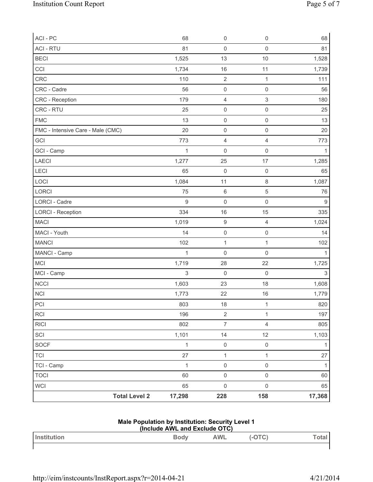| ACI - PC                          | 68           | $\mathsf{O}\xspace$     | $\mathsf{O}\xspace$       | 68               |
|-----------------------------------|--------------|-------------------------|---------------------------|------------------|
| <b>ACI - RTU</b>                  | 81           | $\mathsf{O}\xspace$     | $\mathbf 0$               | 81               |
| <b>BECI</b>                       | 1,525        | 13                      | 10                        | 1,528            |
| CCI                               | 1,734        | 16                      | 11                        | 1,739            |
| CRC                               | 110          | $\overline{2}$          | 1                         | 111              |
| CRC - Cadre                       | 56           | $\mathsf{O}\xspace$     | $\mathsf{O}\xspace$       | 56               |
| CRC - Reception                   | 179          | $\overline{\mathbf{4}}$ | $\ensuremath{\mathsf{3}}$ | 180              |
| CRC - RTU                         | 25           | $\mathsf{O}\xspace$     | $\mathsf{O}\xspace$       | 25               |
| <b>FMC</b>                        | 13           | $\mathsf{O}\xspace$     | $\mathsf{O}\xspace$       | 13               |
| FMC - Intensive Care - Male (CMC) | 20           | $\mathsf{O}\xspace$     | $\mathsf 0$               | 20               |
| GCI                               | 773          | $\overline{4}$          | $\overline{4}$            | 773              |
| GCI - Camp                        | $\mathbf 1$  | $\mathsf{O}\xspace$     | $\mathsf{O}\xspace$       | 1                |
| LAECI                             | 1,277        | 25                      | 17                        | 1,285            |
| LECI                              | 65           | $\mathsf{O}\xspace$     | $\mathsf{O}\xspace$       | 65               |
| LOCI                              | 1,084        | 11                      | $\,8\,$                   | 1,087            |
| LORCI                             | 75           | $\,6\,$                 | $\,$ 5 $\,$               | 76               |
| <b>LORCI - Cadre</b>              | $9$          | $\mathsf{O}\xspace$     | $\mathsf 0$               | $\boldsymbol{9}$ |
| <b>LORCI - Reception</b>          | 334          | 16                      | 15                        | 335              |
| <b>MACI</b>                       | 1,019        | $\boldsymbol{9}$        | $\overline{4}$            | 1,024            |
| MACI - Youth                      | 14           | $\mathsf{O}\xspace$     | $\mathsf 0$               | 14               |
| <b>MANCI</b>                      | 102          | $\mathbf 1$             | $\mathbf{1}$              | 102              |
| MANCI - Camp                      | $\mathbf{1}$ | $\mathsf{O}\xspace$     | $\mathbf 0$               | $\mathbf{1}$     |
| <b>MCI</b>                        | 1,719        | 28                      | 22                        | 1,725            |
| MCI - Camp                        | 3            | $\mathsf{O}\xspace$     | $\mathbf 0$               | $\mathsf 3$      |
| <b>NCCI</b>                       | 1,603        | 23                      | 18                        | 1,608            |
| <b>NCI</b>                        | 1,773        | 22                      | 16                        | 1,779            |
| PCI                               | 803          | 18                      | $\mathbf{1}$              | 820              |
| RCI                               | 196          | $\overline{2}$          | $\mathbf{1}$              | 197              |
| <b>RICI</b>                       | 802          | $\overline{7}$          | $\overline{4}$            | 805              |
| SCI                               | 1,101        | 14                      | 12                        | 1,103            |
| SOCF                              | $\mathbf{1}$ | $\mathsf{O}\xspace$     | $\mathsf 0$               | $\mathbf{1}$     |
| <b>TCI</b>                        | 27           | $\mathbf{1}$            | $\mathbf{1}$              | 27               |
| TCI - Camp                        | 1            | $\mathsf{O}\xspace$     | $\mathsf{O}\xspace$       | $\mathbf{1}$     |
| <b>TOCI</b>                       | 60           | $\mathsf{O}\xspace$     | $\mathsf{O}\xspace$       | 60               |
| WCI                               | 65           | $\mathsf{O}\xspace$     | $\mathsf{O}\xspace$       | 65               |
| <b>Total Level 2</b>              | 17,298       | 228                     | 158                       | 17,368           |

## **Male Population by Institution: Security Level 1**

| (Include AWL and Exclude OTC) |      |     |              |       |  |
|-------------------------------|------|-----|--------------|-------|--|
| <b>Institution</b>            | Bodv | AWL | $($ -OTC $)$ | Гоtal |  |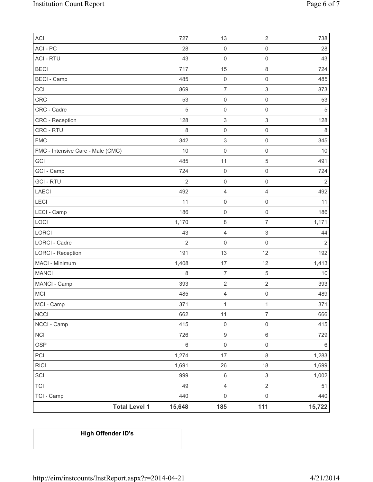| ACI                               | 727            | 13                        | $\overline{2}$            | 738            |
|-----------------------------------|----------------|---------------------------|---------------------------|----------------|
| ACI - PC                          | 28             | $\mathsf{O}\xspace$       | $\mathsf{O}\xspace$       | 28             |
| <b>ACI - RTU</b>                  | 43             | $\mathsf{O}\xspace$       | 0                         | 43             |
| <b>BECI</b>                       | 717            | 15                        | $\,8\,$                   | 724            |
| <b>BECI</b> - Camp                | 485            | $\mathsf{O}\xspace$       | $\mathsf{O}\xspace$       | 485            |
| CCI                               | 869            | $\overline{\mathcal{I}}$  | 3                         | 873            |
| CRC                               | 53             | $\mathsf{O}\xspace$       | $\mathsf 0$               | 53             |
| CRC - Cadre                       | 5              | $\mathsf 0$               | 0                         | 5              |
| CRC - Reception                   | 128            | $\ensuremath{\mathsf{3}}$ | $\ensuremath{\mathsf{3}}$ | 128            |
| CRC - RTU                         | 8              | $\mathsf{O}\xspace$       | $\mathsf{O}\xspace$       | $\,8\,$        |
| <b>FMC</b>                        | 342            | $\ensuremath{\mathsf{3}}$ | $\mathsf{O}\xspace$       | 345            |
| FMC - Intensive Care - Male (CMC) | 10             | $\mathsf{O}\xspace$       | $\mathsf 0$               | 10             |
| GCI                               | 485            | 11                        | $\sqrt{5}$                | 491            |
| GCI - Camp                        | 724            | $\mathsf{O}\xspace$       | $\mathsf 0$               | 724            |
| <b>GCI-RTU</b>                    | $\overline{2}$ | $\mathsf{O}\xspace$       | $\mathsf{O}\xspace$       | $\overline{c}$ |
| LAECI                             | 492            | $\overline{\mathbf{4}}$   | 4                         | 492            |
| LECI                              | 11             | $\mathsf{O}\xspace$       | $\mathsf 0$               | 11             |
| LECI - Camp                       | 186            | $\mathsf{O}\xspace$       | $\mathbf 0$               | 186            |
| LOCI                              | 1,170          | 8                         | $\overline{7}$            | 1,171          |
| LORCI                             | 43             | $\overline{\mathbf{4}}$   | $\ensuremath{\mathsf{3}}$ | 44             |
| <b>LORCI - Cadre</b>              | $\overline{2}$ | $\mathbf 0$               | $\mathsf 0$               | $\sqrt{2}$     |
| <b>LORCI - Reception</b>          | 191            | 13                        | 12                        | 192            |
| MACI - Minimum                    | 1,408          | 17                        | 12                        | 1,413          |
| <b>MANCI</b>                      | 8              | $\overline{7}$            | $\sqrt{5}$                | 10             |
| MANCI - Camp                      | 393            | $\mathbf 2$               | $\overline{2}$            | 393            |
| <b>MCI</b>                        | 485            | $\overline{4}$            | $\boldsymbol{0}$          | 489            |
| MCI - Camp                        | 371            | $\mathbf{1}$              | $\mathbf{1}$              | 371            |
| <b>NCCI</b>                       | 662            | 11                        | $\overline{7}$            | 666            |
| NCCI - Camp                       | 415            | $\mathsf{O}\xspace$       | $\mathsf 0$               | 415            |
| <b>NCI</b>                        | 726            | $\boldsymbol{9}$          | $\,6\,$                   | 729            |
| OSP                               | $\,6\,$        | $\mathsf{O}\xspace$       | $\mathsf{O}\xspace$       | $6\,$          |
| PCI                               | 1,274          | 17                        | $\,8\,$                   | 1,283          |
| <b>RICI</b>                       | 1,691          | 26                        | 18                        | 1,699          |
| SCI                               | 999            | $\,6\,$                   | $\mathfrak{S}$            | 1,002          |
| <b>TCI</b>                        | 49             | $\overline{4}$            | $\overline{2}$            | 51             |
| TCI - Camp                        | 440            | $\mathsf{O}\xspace$       | $\mathsf{O}\xspace$       | 440            |
| <b>Total Level 1</b>              | 15,648         | 185                       | 111                       | 15,722         |

# **High Offender ID's**